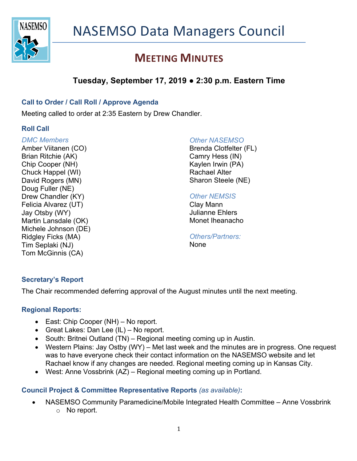

# **MEETING MINUTES**

# **Tuesday, September 17, 2019 ● 2:30 p.m. Eastern Time**

### **Call to Order / Call Roll / Approve Agenda**

Meeting called to order at 2:35 Eastern by Drew Chandler.

### **Roll Call**

#### *DMC Members* Amber Viitanen (CO)

Brian Ritchie (AK) Chip Cooper (NH) Chuck Happel (WI) David Rogers (MN) Doug Fuller (NE) Drew Chandler (KY) Felicia Alvarez (UT) Jay Otsby (WY) Martin Lansdale (OK) Michele Johnson (DE) Ridgley Ficks (MA) Tim Seplaki (NJ) Tom McGinnis (CA)

### *Other NASEMSO*

Brenda Clotfelter (FL) Camry Hess (IN) Kaylen Irwin (PA) Rachael Alter Sharon Steele (NE)

### *Other NEMSIS*

Clay Mann Julianne Ehlers Monet Iheanacho

*Others/Partners:* **None** 

## **Secretary's Report**

The Chair recommended deferring approval of the August minutes until the next meeting.

### **Regional Reports:**

- East: Chip Cooper (NH) No report.
- Great Lakes: Dan Lee (IL) No report.
- South: Britnei Outland (TN) Regional meeting coming up in Austin.
- Western Plains: Jay Ostby (WY) Met last week and the minutes are in progress. One request was to have everyone check their contact information on the NASEMSO website and let Rachael know if any changes are needed. Regional meeting coming up in Kansas City.
- West: Anne Vossbrink (AZ) Regional meeting coming up in Portland.

## **Council Project & Committee Representative Reports** *(as available)***:**

• NASEMSO Community Paramedicine/Mobile Integrated Health Committee – Anne Vossbrink o No report.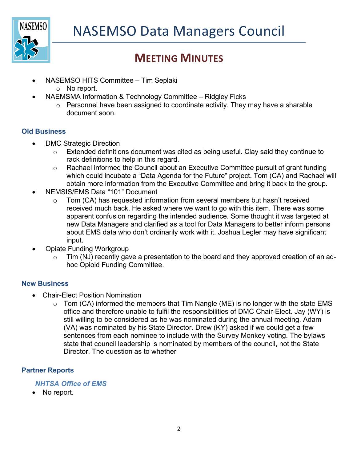

# **MEETING MINUTES**

- NASEMSO HITS Committee Tim Seplaki
	- o No report.
- NAEMSMA Information & Technology Committee Ridgley Ficks
	- $\circ$  Personnel have been assigned to coordinate activity. They may have a sharable document soon.

### **Old Business**

- DMC Strategic Direction
	- o Extended definitions document was cited as being useful. Clay said they continue to rack definitions to help in this regard.
	- o Rachael informed the Council about an Executive Committee pursuit of grant funding which could incubate a "Data Agenda for the Future" project. Tom (CA) and Rachael will obtain more information from the Executive Committee and bring it back to the group.
- NEMSIS/EMS Data "101" Document
	- $\circ$  Tom (CA) has requested information from several members but hasn't received received much back. He asked where we want to go with this item. There was some apparent confusion regarding the intended audience. Some thought it was targeted at new Data Managers and clarified as a tool for Data Managers to better inform persons about EMS data who don't ordinarily work with it. Joshua Legler may have significant input.
- Opiate Funding Workgroup
	- $\circ$  Tim (NJ) recently gave a presentation to the board and they approved creation of an adhoc Opioid Funding Committee.

### **New Business**

- Chair-Elect Position Nomination
	- $\circ$  Tom (CA) informed the members that Tim Nangle (ME) is no longer with the state EMS office and therefore unable to fulfil the responsibilities of DMC Chair-Elect. Jay (WY) is still willing to be considered as he was nominated during the annual meeting. Adam (VA) was nominated by his State Director. Drew (KY) asked if we could get a few sentences from each nominee to include with the Survey Monkey voting. The bylaws state that council leadership is nominated by members of the council, not the State Director. The question as to whether

## **Partner Reports**

### *NHTSA Office of EMS*

• No report.